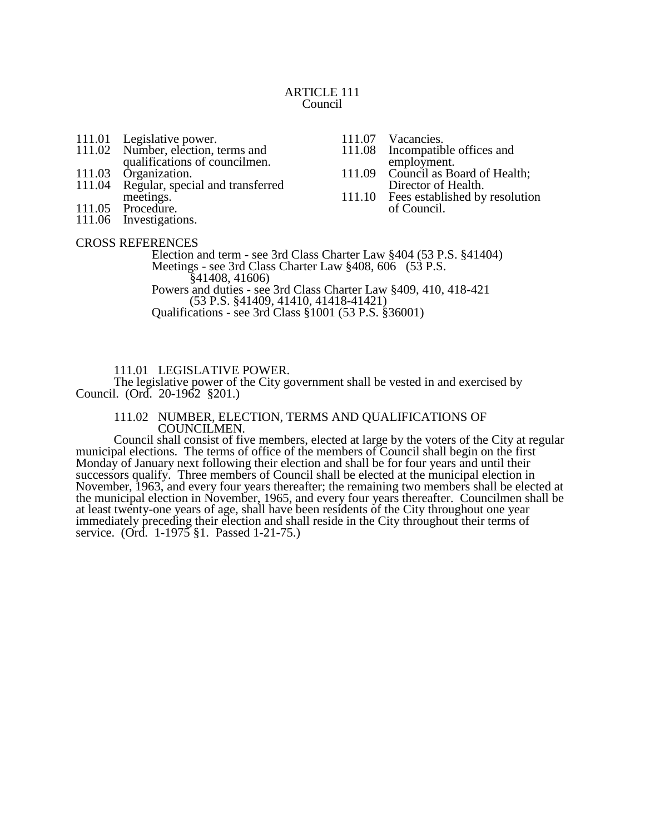#### ARTICLE 111 Council

- 111.01 Legislative power.<br>111.02 Number, election, t
- Number, election, terms and qualifications of councilmen.
- 111.03 Organization.<br>111.04 Regular, speci
- Regular, special and transferred meetings.
- 111.05 Procedure.
- 111.06 Investigations.

# CROSS REFERENCES

111.10 Fees established by resolution of Council.

111.07 Vacancies.<br>111.08 Incompatib

Incompatible offices and

employment. 111.09 Council as Board of Health; Director of Health.

Election and term - see 3rd Class Charter Law §404 (53 P.S. §41404) Meetings - see 3rd Class Charter Law §408, 606 (53 P.S. §41408, 41606) Powers and duties - see 3rd Class Charter Law §409, 410, 418-421 (53 P.S. §41409, 41410, 41418-41421)

Qualifications - see 3rd Class §1001 (53 P.S. §36001)

111.01 LEGISLATIVE POWER.

The legislative power of the City government shall be vested in and exercised by Council. (Ord. 20-1962 §201.)

#### 111.02 NUMBER, ELECTION, TERMS AND QUALIFICATIONS OF COUNCILMEN.

Council shall consist of five members, elected at large by the voters of the City at regular municipal elections. The terms of office of the members of Council shall begin on the first Monday of January next following their election and shall be for four years and until their successors qualify. Three members of Council shall be elected at the municipal election in November, 1963, and every four years thereafter; the remaining two members shall be elected at the municipal election in November, 1965, and every four years thereafter. Councilmen shall be at least twenty-one years of age, shall have been residents of the City throughout one year immediately preceding their election and shall reside in the City throughout their terms of service. (Ord. 1-1975 §1. Passed 1-21-75.)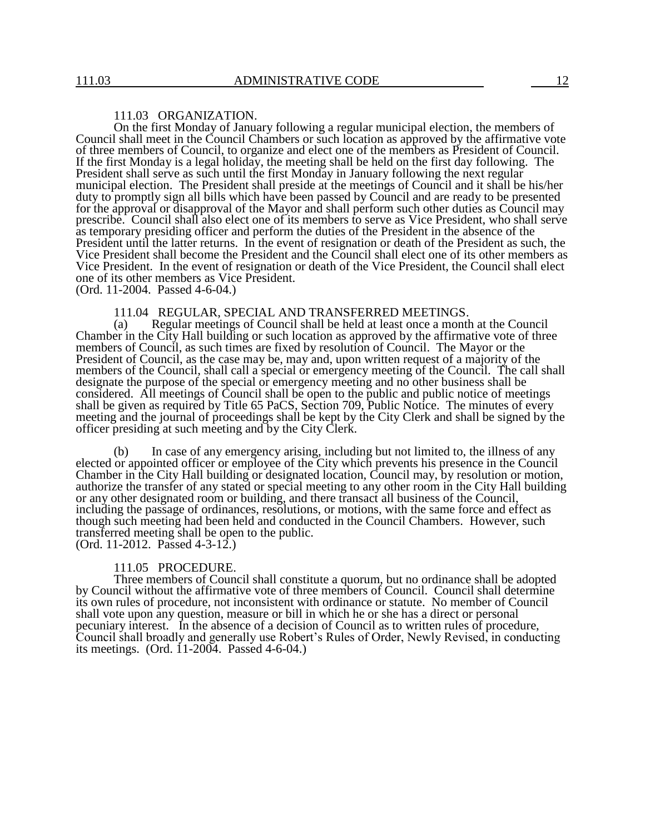#### 111.03 ORGANIZATION.

On the first Monday of January following a regular municipal election, the members of Council shall meet in the Council Chambers or such location as approved by the affirmative vote of three members of Council, to organize and elect one of the members as President of Council. If the first Monday is a legal holiday, the meeting shall be held on the first day following. The President shall serve as such until the first Monday in January following the next regular municipal election. The President shall preside at the meetings of Council and it shall be his/her duty to promptly sign all bills which have been passed by Council and are ready to be presented for the approval or disapproval of the Mayor and shall perform such other duties as Council may prescribe. Council shall also elect one of its members to serve as Vice President, who shall serve as temporary presiding officer and perform the duties of the President in the absence of the President until the latter returns. In the event of resignation or death of the President as such, the Vice President shall become the President and the Council shall elect one of its other members as Vice President. In the event of resignation or death of the Vice President, the Council shall elect one of its other members as Vice President.

(Ord. 11-2004. Passed 4-6-04.)

#### 111.04 REGULAR, SPECIAL AND TRANSFERRED MEETINGS.

(a) Regular meetings of Council shall be held at least once a month at the Council Chamber in the City Hall building or such location as approved by the affirmative vote of three members of Council, as such times are fixed by resolution of Council. The Mayor or the President of Council, as the case may be, may and, upon written request of a majority of the members of the Council, shall call a special or emergency meeting of the Council. The call shall designate the purpose of the special or emergency meeting and no other business shall be considered. All meetings of Council shall be open to the public and public notice of meetings shall be given as required by Title 65 PaCS, Section 709, Public Notice. The minutes of every meeting and the journal of proceedings shall be kept by the City Clerk and shall be signed by the officer presiding at such meeting and by the City Clerk.

(b) In case of any emergency arising, including but not limited to, the illness of any elected or appointed officer or employee of the City which prevents his presence in the Council Chamber in the City Hall building or designated location, Council may, by resolution or motion, authorize the transfer of any stated or special meeting to any other room in the City Hall building or any other designated room or building, and there transact all business of the Council, including the passage of ordinances, resolutions, or motions, with the same force and effect as though such meeting had been held and conducted in the Council Chambers. However, such transferred meeting shall be open to the public. (Ord. 11-2012. Passed 4-3-12.)

#### 111.05 PROCEDURE.

Three members of Council shall constitute a quorum, but no ordinance shall be adopted by Council without the affirmative vote of three members of Council. Council shall determine its own rules of procedure, not inconsistent with ordinance or statute. No member of Council shall vote upon any question, measure or bill in which he or she has a direct or personal pecuniary interest. In the absence of a decision of Council as to written rules of procedure, Council shall broadly and generally use Robert's Rules of Order, Newly Revised, in conducting its meetings. (Ord. 11-2004. Passed 4-6-04.)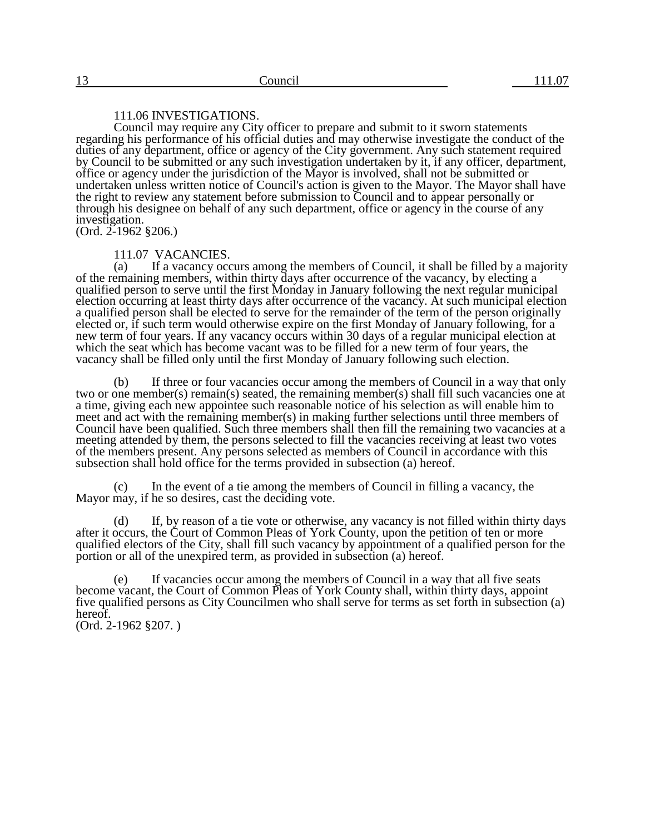### 111.06 INVESTIGATIONS.

Council may require any City officer to prepare and submit to it sworn statements regarding his performance of his official duties and may otherwise investigate the conduct of the duties of any department, office or agency of the City government. Any such statement required by Council to be submitted or any such investigation undertaken by it, if any officer, department, office or agency under the jurisdiction of the Mayor is involved, shall not be submitted or undertaken unless written notice of Council's action is given to the Mayor. The Mayor shall have the right to review any statement before submission to Council and to appear personally or through his designee on behalf of any such department, office or agency in the course of any investigation.

(Ord. 2-1962 §206.)

#### 111.07 VACANCIES.

(a) If a vacancy occurs among the members of Council, it shall be filled by a majority of the remaining members, within thirty days after occurrence of the vacancy, by electing a qualified person to serve until the first Monday in January following the next regular municipal election occurring at least thirty days after occurrence of the vacancy. At such municipal election a qualified person shall be elected to serve for the remainder of the term of the person originally elected or, if such term would otherwise expire on the first Monday of January following, for a new term of four years. If any vacancy occurs within 30 days of a regular municipal election at which the seat which has become vacant was to be filled for a new term of four years, the vacancy shall be filled only until the first Monday of January following such election.

(b) If three or four vacancies occur among the members of Council in a way that only two or one member(s) remain(s) seated, the remaining member(s) shall fill such vacancies one at a time, giving each new appointee such reasonable notice of his selection as will enable him to meet and act with the remaining member(s) in making further selections until three members of Council have been qualified. Such three members shall then fill the remaining two vacancies at a meeting attended by them, the persons selected to fill the vacancies receiving at least two votes of the members present. Any persons selected as members of Council in accordance with this subsection shall hold office for the terms provided in subsection (a) hereof.

In the event of a tie among the members of Council in filling a vacancy, the Mayor may, if he so desires, cast the deciding vote.

(d) If, by reason of a tie vote or otherwise, any vacancy is not filled within thirty days after it occurs, the Court of Common Pleas of York County, upon the petition of ten or more qualified electors of the City, shall fill such vacancy by appointment of a qualified person for the portion or all of the unexpired term, as provided in subsection (a) hereof.

(e) If vacancies occur among the members of Council in a way that all five seats become vacant, the Court of Common Pleas of York County shall, within thirty days, appoint five qualified persons as City Councilmen who shall serve for terms as set forth in subsection (a) hereof. (Ord. 2-1962 §207. )